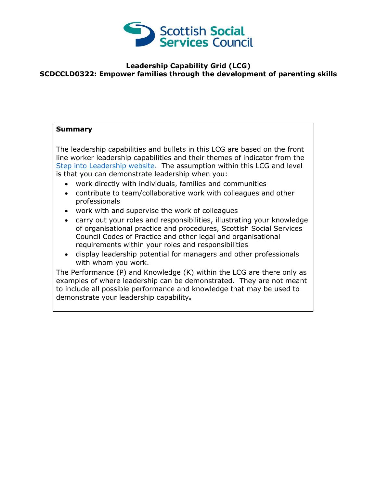

## **Leadership Capability Grid (LCG) SCDCCLD0322: Empower families through the development of parenting skills**

## **Summary**

The leadership capabilities and bullets in this LCG are based on the front line worker leadership capabilities and their themes of indicator from the [Step into Leadership website.](http://www.stepintoleadership.info/) The assumption within this LCG and level is that you can demonstrate leadership when you:

- work directly with individuals, families and communities
- contribute to team/collaborative work with colleagues and other professionals
- work with and supervise the work of colleagues
- carry out your roles and responsibilities, illustrating your knowledge of organisational practice and procedures, Scottish Social Services Council Codes of Practice and other legal and organisational requirements within your roles and responsibilities
- display leadership potential for managers and other professionals with whom you work.

The Performance (P) and Knowledge (K) within the LCG are there only as examples of where leadership can be demonstrated. They are not meant to include all possible performance and knowledge that may be used to demonstrate your leadership capability**.**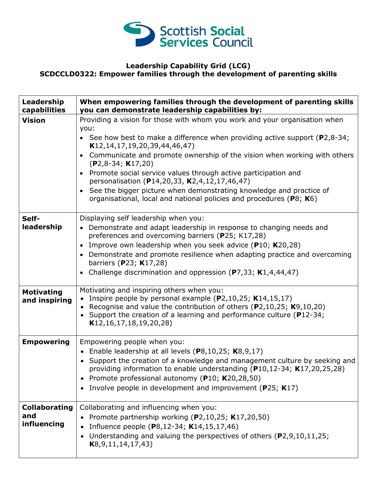

## **Leadership Capability Grid (LCG) SCDCCLD0322: Empower families through the development of parenting skills**

| Leadership<br>capabilities                 | When empowering families through the development of parenting skills<br>you can demonstrate leadership capabilities by:                                                                                                                                                                                                                                                    |
|--------------------------------------------|----------------------------------------------------------------------------------------------------------------------------------------------------------------------------------------------------------------------------------------------------------------------------------------------------------------------------------------------------------------------------|
| <b>Vision</b>                              | Providing a vision for those with whom you work and your organisation when<br>you:                                                                                                                                                                                                                                                                                         |
|                                            | • See how best to make a difference when providing active support ( $P2,8-34$ ;<br>K12, 14, 17, 19, 20, 39, 44, 46, 47)                                                                                                                                                                                                                                                    |
|                                            | Communicate and promote ownership of the vision when working with others<br>$\bullet$<br>$(P2, 8-34; K17, 20)$                                                                                                                                                                                                                                                             |
|                                            | Promote social service values through active participation and<br>$\bullet$<br>personalisation (P14,20,33, K2,4,12,17,46,47)                                                                                                                                                                                                                                               |
|                                            | See the bigger picture when demonstrating knowledge and practice of<br>$\bullet$<br>organisational, local and national policies and procedures (P8; K6)                                                                                                                                                                                                                    |
| Self-<br>leadership                        | Displaying self leadership when you:<br>• Demonstrate and adapt leadership in response to changing needs and<br>preferences and overcoming barriers (P25; K17,28)                                                                                                                                                                                                          |
|                                            | • Improve own leadership when you seek advice (P10; K20,28)                                                                                                                                                                                                                                                                                                                |
|                                            | • Demonstrate and promote resilience when adapting practice and overcoming<br>barriers (P23; K17,28)                                                                                                                                                                                                                                                                       |
|                                            | • Challenge discrimination and oppression (P7,33; $K1,4,44,47$ )                                                                                                                                                                                                                                                                                                           |
| <b>Motivating</b><br>and inspiring         | Motivating and inspiring others when you:<br>Inspire people by personal example $(P2, 10, 25; K14, 15, 17)$<br>Recognise and value the contribution of others (P2,10,25; K9,10,20)<br>Support the creation of a learning and performance culture (P12-34;<br>K12, 16, 17, 18, 19, 20, 28)                                                                                  |
| <b>Empowering</b>                          | Empowering people when you:<br>• Enable leadership at all levels $(P8, 10, 25; K8, 9, 17)$<br>• Support the creation of a knowledge and management culture by seeking and<br>providing information to enable understanding ( $P10,12-34$ ; K17,20,25,28)<br>• Promote professional autonomy (P10; K20,28,50)<br>• Involve people in development and improvement (P25; K17) |
| <b>Collaborating</b><br>and<br>influencing | Collaborating and influencing when you:<br>Promote partnership working (P2,10,25; K17,20,50)<br>Influence people (P8,12-34; K14,15,17,46)<br>Understanding and valuing the perspectives of others (P2,9,10,11,25;<br>K8, 9, 11, 14, 17, 43)                                                                                                                                |